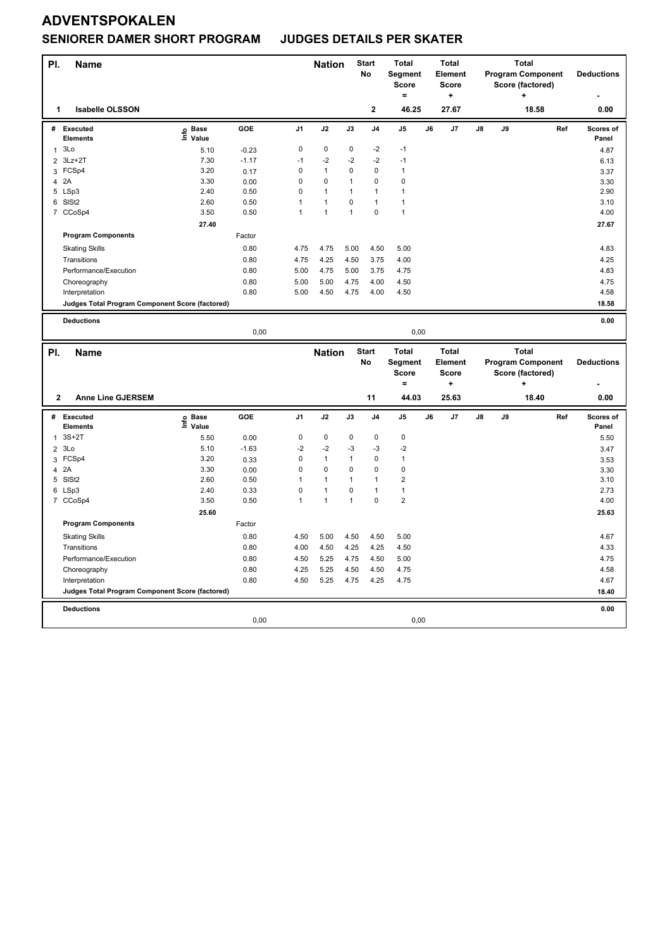### **SENIORER DAMER SHORT PROGRAM JUDGES DETAILS PER SKATER**

| PI.            | <b>Name</b>                                     |                                  |              |                | <b>Nation</b>               |              | <b>Start</b><br>No      | <b>Total</b><br>Segment     |    | <b>Total</b><br>Element |    |    | <b>Total</b><br><b>Program Component</b> |     | <b>Deductions</b>         |
|----------------|-------------------------------------------------|----------------------------------|--------------|----------------|-----------------------------|--------------|-------------------------|-----------------------------|----|-------------------------|----|----|------------------------------------------|-----|---------------------------|
|                |                                                 |                                  |              |                |                             |              |                         | <b>Score</b>                |    | <b>Score</b>            |    |    | Score (factored)                         |     |                           |
|                |                                                 |                                  |              |                |                             |              |                         | $=$                         |    | ۰.                      |    |    | ٠                                        |     |                           |
| 1              | <b>Isabelle OLSSON</b>                          |                                  |              |                |                             |              | $\mathbf 2$             | 46.25                       |    | 27.67                   |    |    | 18.58                                    |     | 0.00                      |
| #              | Executed<br><b>Elements</b>                     | <b>Base</b><br>e Base<br>⊆ Value | <b>GOE</b>   | J <sub>1</sub> | J2                          | J3           | J4                      | J <sub>5</sub>              | J6 | J7                      | J8 | J9 |                                          | Ref | <b>Scores of</b><br>Panel |
| $\mathbf{1}$   | 3Lo                                             | 5.10                             | $-0.23$      | $\mathsf 0$    | $\pmb{0}$                   | $\pmb{0}$    | $-2$                    | $-1$                        |    |                         |    |    |                                          |     | 4.87                      |
| $\overline{2}$ | $3Lz + 2T$                                      | 7.30                             | $-1.17$      | $-1$           | $-2$                        | $-2$         | $-2$                    | $-1$                        |    |                         |    |    |                                          |     | 6.13                      |
|                | 3 FCSp4                                         | 3.20                             | 0.17         | $\mathbf 0$    | $\mathbf{1}$                | 0            | $\mathbf 0$             | $\mathbf{1}$                |    |                         |    |    |                                          |     | 3.37                      |
| 4              | 2A                                              | 3.30                             | 0.00         | 0              | $\pmb{0}$                   | $\mathbf{1}$ | $\mathbf 0$             | $\pmb{0}$                   |    |                         |    |    |                                          |     | 3.30                      |
| 5              | LSp3                                            | 2.40                             | 0.50         | 0              | $\mathbf{1}$                | 1            | $\mathbf{1}$            | $\mathbf{1}$                |    |                         |    |    |                                          |     | 2.90                      |
| 6              | SISt <sub>2</sub>                               | 2.60                             | 0.50         | $\mathbf{1}$   | $\mathbf{1}$                | $\pmb{0}$    | $\mathbf{1}$            | $\mathbf{1}$                |    |                         |    |    |                                          |     | 3.10                      |
|                | 7 CCoSp4                                        | 3.50                             | 0.50         | 1              | $\mathbf{1}$                | 1            | $\mathbf 0$             | $\overline{1}$              |    |                         |    |    |                                          |     | 4.00                      |
|                |                                                 | 27.40                            |              |                |                             |              |                         |                             |    |                         |    |    |                                          |     | 27.67                     |
|                | <b>Program Components</b>                       |                                  | Factor       |                |                             |              |                         |                             |    |                         |    |    |                                          |     |                           |
|                | <b>Skating Skills</b>                           |                                  | 0.80         | 4.75           | 4.75                        | 5.00         | 4.50                    | 5.00                        |    |                         |    |    |                                          |     | 4.83                      |
|                | Transitions                                     |                                  | 0.80         | 4.75           | 4.25                        | 4.50         | 3.75                    | 4.00                        |    |                         |    |    |                                          |     | 4.25                      |
|                | Performance/Execution                           |                                  | 0.80         | 5.00           | 4.75                        | 5.00         | 3.75                    | 4.75                        |    |                         |    |    |                                          |     | 4.83                      |
|                | Choreography                                    |                                  | 0.80         | 5.00           | 5.00                        | 4.75         | 4.00                    | 4.50                        |    |                         |    |    |                                          |     | 4.75                      |
|                | Interpretation                                  |                                  | 0.80         | 5.00           | 4.50                        | 4.75         | 4.00                    | 4.50                        |    |                         |    |    |                                          |     | 4.58                      |
|                | Judges Total Program Component Score (factored) |                                  |              |                |                             |              |                         |                             |    |                         |    |    |                                          |     | 18.58                     |
|                | <b>Deductions</b>                               |                                  |              |                |                             |              |                         |                             |    |                         |    |    |                                          |     | 0.00                      |
|                |                                                 |                                  | 0,00         |                |                             |              |                         | 0,00                        |    |                         |    |    |                                          |     |                           |
|                |                                                 |                                  |              |                |                             |              |                         |                             |    |                         |    |    |                                          |     |                           |
| PI.            | <b>Name</b>                                     |                                  |              |                | <b>Nation</b>               |              | <b>Start</b>            | <b>Total</b>                |    | <b>Total</b>            |    |    | <b>Total</b>                             |     |                           |
|                |                                                 |                                  |              |                |                             |              | No                      | Segment                     |    | Element                 |    |    | <b>Program Component</b>                 |     | <b>Deductions</b>         |
|                |                                                 |                                  |              |                |                             |              |                         | <b>Score</b>                |    | <b>Score</b>            |    |    | Score (factored)                         |     |                           |
|                |                                                 |                                  |              |                |                             |              |                         | ۰                           |    | ÷                       |    |    |                                          |     |                           |
| $\mathbf{2}$   | <b>Anne Line GJERSEM</b>                        |                                  |              |                |                             |              | 11                      | 44.03                       |    | 25.63                   |    |    | 18.40                                    |     | 0.00                      |
| #              | Executed                                        | <b>Base</b>                      | <b>GOE</b>   | J <sub>1</sub> | J2                          | J3           | J <sub>4</sub>          | J <sub>5</sub>              | J6 | J7                      | J8 | J9 |                                          | Ref | Scores of                 |
|                | <b>Elements</b>                                 | e Base<br>⊆ Value                |              |                |                             |              |                         |                             |    |                         |    |    |                                          |     | Panel                     |
| $\mathbf{1}$   | $3S+2T$                                         | 5.50                             | 0.00         | $\pmb{0}$      | $\pmb{0}$                   | 0            | $\mathbf 0$             | $\pmb{0}$                   |    |                         |    |    |                                          |     | 5.50                      |
|                | 23L0                                            | 5.10                             | $-1.63$      | $-2$           | $-2$                        | $-3$         | $-3$                    | $-2$                        |    |                         |    |    |                                          |     | 3.47                      |
| 3              | FCSp4                                           | 3.20                             | 0.33         | 0<br>0         | $\mathbf{1}$<br>$\mathbf 0$ | 1<br>0       | $\mathbf 0$<br>$\Omega$ | $\mathbf{1}$<br>$\mathbf 0$ |    |                         |    |    |                                          |     | 3.53                      |
| 4<br>5         | 2A                                              | 3.30<br>2.60                     | 0.00         | 1              | $\mathbf{1}$                | 1            | $\mathbf{1}$            | $\overline{2}$              |    |                         |    |    |                                          |     | 3.30<br>3.10              |
| 6              | SISt <sub>2</sub>                               | 2.40                             | 0.50<br>0.33 | 0              | $\mathbf{1}$                | 0            | $\mathbf{1}$            | $\mathbf{1}$                |    |                         |    |    |                                          |     | 2.73                      |
|                | LSp3<br>7 CCoSp4                                | 3.50                             | 0.50         | $\mathbf{1}$   | $\mathbf{1}$                | $\mathbf{1}$ | $\mathbf 0$             | $\overline{2}$              |    |                         |    |    |                                          |     | 4.00                      |
|                |                                                 |                                  |              |                |                             |              |                         |                             |    |                         |    |    |                                          |     |                           |
|                | <b>Program Components</b>                       | 25.60                            | Factor       |                |                             |              |                         |                             |    |                         |    |    |                                          |     | 25.63                     |
|                | <b>Skating Skills</b>                           |                                  | 0.80         | 4.50           | 5.00                        | 4.50         | 4.50                    | 5.00                        |    |                         |    |    |                                          |     | 4.67                      |
|                | Transitions                                     |                                  | 0.80         | 4.00           | 4.50                        | 4.25         | 4.25                    | 4.50                        |    |                         |    |    |                                          |     | 4.33                      |
|                | Performance/Execution                           |                                  | 0.80         | 4.50           | 5.25                        | 4.75         | 4.50                    | 5.00                        |    |                         |    |    |                                          |     | 4.75                      |
|                | Choreography                                    |                                  | 0.80         | 4.25           | 5.25                        | 4.50         | 4.50                    | 4.75                        |    |                         |    |    |                                          |     | 4.58                      |
|                | Interpretation                                  |                                  | 0.80         | 4.50           | 5.25                        | 4.75         | 4.25                    | 4.75                        |    |                         |    |    |                                          |     | 4.67                      |
|                | Judges Total Program Component Score (factored) |                                  |              |                |                             |              |                         |                             |    |                         |    |    |                                          |     | 18.40                     |
|                | <b>Deductions</b>                               |                                  |              |                |                             |              |                         |                             |    |                         |    |    |                                          |     | 0.00                      |
|                |                                                 |                                  | 0,00         |                |                             |              |                         | 0,00                        |    |                         |    |    |                                          |     |                           |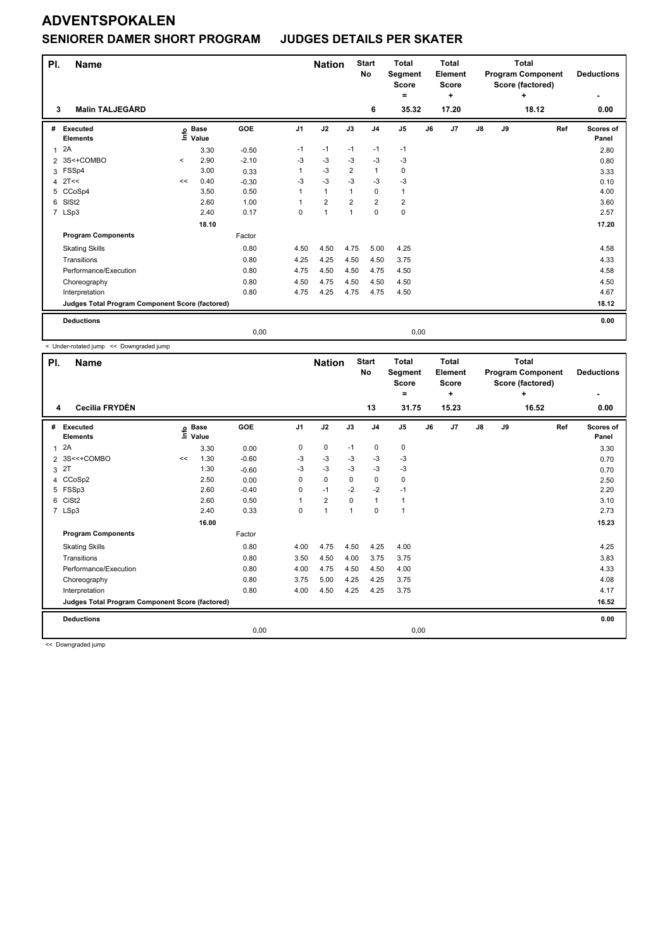### **SENIORER DAMER SHORT PROGRAM JUDGES DETAILS PER SKATER**

| PI.          | <b>Name</b>                                     |         |                            |            |                | <b>Nation</b>        |                | <b>Start</b><br><b>No</b> | <b>Total</b><br>Segment<br><b>Score</b><br>Ξ. |    | <b>Total</b><br>Element<br><b>Score</b><br>÷ |               | <b>Total</b><br><b>Program Component</b><br>Score (factored) | <b>Deductions</b> |                    |
|--------------|-------------------------------------------------|---------|----------------------------|------------|----------------|----------------------|----------------|---------------------------|-----------------------------------------------|----|----------------------------------------------|---------------|--------------------------------------------------------------|-------------------|--------------------|
| 3            | <b>Malin TALJEGÅRD</b>                          |         |                            |            |                |                      |                | 6                         | 35.32                                         |    | 17.20                                        |               |                                                              | 18.12             | 0.00               |
| #            | Executed<br><b>Elements</b>                     |         | e Base<br>E Value<br>Value | <b>GOE</b> | J <sub>1</sub> | J2                   | J3             | J <sub>4</sub>            | J <sub>5</sub>                                | J6 | J7                                           | $\mathsf{J}8$ | J9                                                           | Ref               | Scores of<br>Panel |
| $\mathbf{1}$ | 2A                                              |         | 3.30                       | $-0.50$    | $-1$           | $-1$                 | $-1$           | $-1$                      | $-1$                                          |    |                                              |               |                                                              |                   | 2.80               |
| 2            | 3S<+COMBO                                       | $\prec$ | 2.90                       | $-2.10$    | $-3$           | $-3$                 | $-3$           | $-3$                      | $-3$                                          |    |                                              |               |                                                              |                   | 0.80               |
| 3            | FSSp4                                           |         | 3.00                       | 0.33       |                | $-3$                 | $\overline{2}$ | $\mathbf{1}$              | $\mathbf 0$                                   |    |                                              |               |                                                              |                   | 3.33               |
| 4            | 2T<<                                            | <<      | 0.40                       | $-0.30$    | -3             | $-3$                 | $-3$           | $-3$                      | $-3$                                          |    |                                              |               |                                                              |                   | 0.10               |
| 5            | CCoSp4                                          |         | 3.50                       | 0.50       |                | $\mathbf{1}$         | $\mathbf{1}$   | $\mathbf 0$               | 1                                             |    |                                              |               |                                                              |                   | 4.00               |
| 6            | SISt <sub>2</sub>                               |         | 2.60                       | 1.00       |                | $\overline{2}$       | $\overline{2}$ | $\overline{2}$            | $\overline{2}$                                |    |                                              |               |                                                              |                   | 3.60               |
|              | 7 LSp3                                          |         | 2.40                       | 0.17       | 0              | $\blacktriangleleft$ | 1              | $\mathbf 0$               | 0                                             |    |                                              |               |                                                              |                   | 2.57               |
|              |                                                 |         | 18.10                      |            |                |                      |                |                           |                                               |    |                                              |               |                                                              |                   | 17.20              |
|              | <b>Program Components</b>                       |         |                            | Factor     |                |                      |                |                           |                                               |    |                                              |               |                                                              |                   |                    |
|              | <b>Skating Skills</b>                           |         |                            | 0.80       | 4.50           | 4.50                 | 4.75           | 5.00                      | 4.25                                          |    |                                              |               |                                                              |                   | 4.58               |
|              | Transitions                                     |         |                            | 0.80       | 4.25           | 4.25                 | 4.50           | 4.50                      | 3.75                                          |    |                                              |               |                                                              |                   | 4.33               |
|              | Performance/Execution                           |         |                            | 0.80       | 4.75           | 4.50                 | 4.50           | 4.75                      | 4.50                                          |    |                                              |               |                                                              |                   | 4.58               |
|              | Choreography                                    |         |                            | 0.80       | 4.50           | 4.75                 | 4.50           | 4.50                      | 4.50                                          |    |                                              |               |                                                              |                   | 4.50               |
|              | Interpretation                                  |         |                            | 0.80       | 4.75           | 4.25                 | 4.75           | 4.75                      | 4.50                                          |    |                                              |               |                                                              |                   | 4.67               |
|              | Judges Total Program Component Score (factored) |         |                            |            |                |                      |                |                           |                                               |    |                                              |               |                                                              |                   | 18.12              |
|              | <b>Deductions</b>                               |         |                            |            |                |                      |                |                           |                                               |    |                                              |               |                                                              |                   | 0.00               |
|              |                                                 |         |                            | 0,00       |                |                      |                |                           | 0,00                                          |    |                                              |               |                                                              |                   |                    |

< Under-rotated jump << Downgraded jump

| PI.            | <b>Name</b>                                     |    |                      |         |                | <b>Nation</b>  |      | <b>Start</b><br>No | <b>Total</b><br>Segment<br><b>Score</b><br>٠ |    | <b>Total</b><br>Element<br><b>Score</b><br>÷ |               |    | <b>Total</b><br><b>Program Component</b><br>Score (factored)<br>÷ | <b>Deductions</b><br>٠    |
|----------------|-------------------------------------------------|----|----------------------|---------|----------------|----------------|------|--------------------|----------------------------------------------|----|----------------------------------------------|---------------|----|-------------------------------------------------------------------|---------------------------|
| 4              | Cecilia FRYDÉN                                  |    |                      |         |                |                |      | 13                 | 31.75                                        |    | 15.23                                        |               |    | 16.52                                                             | 0.00                      |
| #              | Executed<br><b>Elements</b>                     | ۴ů | <b>Base</b><br>Value | GOE     | J <sub>1</sub> | J2             | J3   | J <sub>4</sub>     | J <sub>5</sub>                               | J6 | J7                                           | $\mathsf{J}8$ | J9 | Ref                                                               | <b>Scores of</b><br>Panel |
| $\overline{1}$ | 2A                                              |    | 3.30                 | 0.00    | 0              | 0              | $-1$ | 0                  | 0                                            |    |                                              |               |    |                                                                   | 3.30                      |
| $\overline{2}$ | 3S<<+COMBO                                      | << | 1.30                 | $-0.60$ | -3             | $-3$           | -3   | -3                 | $-3$                                         |    |                                              |               |    |                                                                   | 0.70                      |
| 3              | 2T                                              |    | 1.30                 | $-0.60$ | -3             | $-3$           | $-3$ | $-3$               | $-3$                                         |    |                                              |               |    |                                                                   | 0.70                      |
|                | 4 CCoSp2                                        |    | 2.50                 | 0.00    | 0              | $\mathbf 0$    | 0    | 0                  | 0                                            |    |                                              |               |    |                                                                   | 2.50                      |
| 5              | FSSp3                                           |    | 2.60                 | $-0.40$ | 0              | $-1$           | $-2$ | $-2$               | $-1$                                         |    |                                              |               |    |                                                                   | 2.20                      |
| 6              | CiSt <sub>2</sub>                               |    | 2.60                 | 0.50    | 1              | $\overline{2}$ | 0    | $\mathbf{1}$       | $\mathbf{1}$                                 |    |                                              |               |    |                                                                   | 3.10                      |
|                | 7 LSp3                                          |    | 2.40                 | 0.33    | 0              | $\overline{1}$ | 1    | $\mathbf 0$        | $\mathbf{1}$                                 |    |                                              |               |    |                                                                   | 2.73                      |
|                |                                                 |    | 16.00                |         |                |                |      |                    |                                              |    |                                              |               |    |                                                                   | 15.23                     |
|                | <b>Program Components</b>                       |    |                      | Factor  |                |                |      |                    |                                              |    |                                              |               |    |                                                                   |                           |
|                | <b>Skating Skills</b>                           |    |                      | 0.80    | 4.00           | 4.75           | 4.50 | 4.25               | 4.00                                         |    |                                              |               |    |                                                                   | 4.25                      |
|                | Transitions                                     |    |                      | 0.80    | 3.50           | 4.50           | 4.00 | 3.75               | 3.75                                         |    |                                              |               |    |                                                                   | 3.83                      |
|                | Performance/Execution                           |    |                      | 0.80    | 4.00           | 4.75           | 4.50 | 4.50               | 4.00                                         |    |                                              |               |    |                                                                   | 4.33                      |
|                | Choreography                                    |    |                      | 0.80    | 3.75           | 5.00           | 4.25 | 4.25               | 3.75                                         |    |                                              |               |    |                                                                   | 4.08                      |
|                | Interpretation                                  |    |                      | 0.80    | 4.00           | 4.50           | 4.25 | 4.25               | 3.75                                         |    |                                              |               |    |                                                                   | 4.17                      |
|                | Judges Total Program Component Score (factored) |    |                      |         |                |                |      |                    |                                              |    |                                              |               |    |                                                                   | 16.52                     |
|                | <b>Deductions</b>                               |    |                      |         |                |                |      |                    |                                              |    |                                              |               |    |                                                                   | 0.00                      |
|                |                                                 |    |                      | 0,00    |                |                |      |                    | 0,00                                         |    |                                              |               |    |                                                                   |                           |

<< Downgraded jump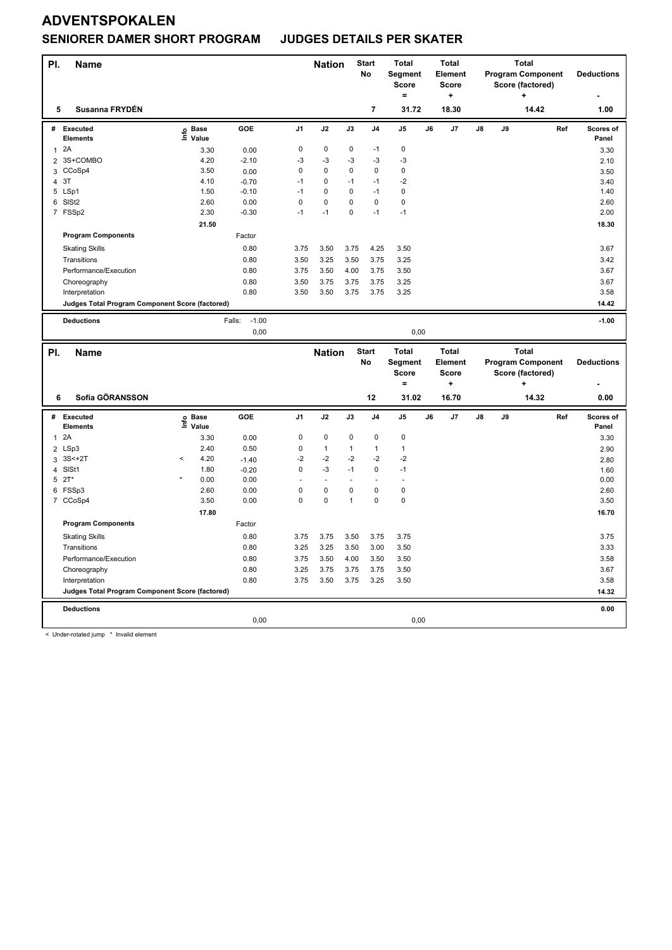#### **SENIORER DAMER SHORT PROGRAM JUDGES DETAILS PER SKATER**

| PI.            | <b>Name</b>                                     |                   |                   |                | <b>Nation</b> |              | <b>Start</b><br>No      | <b>Total</b><br>Segment<br><b>Score</b><br>$=$ |    | <b>Total</b><br><b>Element</b><br><b>Score</b><br>$\ddot{}$ | <b>Total</b><br><b>Program Component</b><br>Score (factored)<br>÷ |    | <b>Deductions</b>        |     |                    |
|----------------|-------------------------------------------------|-------------------|-------------------|----------------|---------------|--------------|-------------------------|------------------------------------------------|----|-------------------------------------------------------------|-------------------------------------------------------------------|----|--------------------------|-----|--------------------|
| 5              | Susanna FRYDÉN                                  |                   |                   |                |               |              | $\overline{\mathbf{r}}$ | 31.72                                          |    | 18.30                                                       |                                                                   |    | 14.42                    |     | 1.00               |
| #              | <b>Executed</b><br><b>Elements</b>              | e Base<br>⊑ Value | GOE               | J <sub>1</sub> | J2            | J3           | J4                      | J5                                             | J6 | J7                                                          | J8                                                                | J9 |                          | Ref | Scores of<br>Panel |
| $\mathbf{1}$   | 2A                                              | 3.30              | 0.00              | $\mathsf 0$    | $\mathbf 0$   | $\mathbf 0$  | $-1$                    | $\pmb{0}$                                      |    |                                                             |                                                                   |    |                          |     | 3.30               |
| $\overline{2}$ | 3S+COMBO                                        | 4.20              | $-2.10$           | $-3$           | $-3$          | $-3$         | $-3$                    | $-3$                                           |    |                                                             |                                                                   |    |                          |     | 2.10               |
| 3              | CCoSp4                                          | 3.50              | 0.00              | 0              | $\mathbf 0$   | 0            | $\mathbf 0$             | $\mathbf 0$                                    |    |                                                             |                                                                   |    |                          |     | 3.50               |
| 4              | 3T                                              | 4.10              | $-0.70$           | $-1$           | 0             | $-1$         | $-1$                    | $-2$                                           |    |                                                             |                                                                   |    |                          |     | 3.40               |
| 5              | LSp1                                            | 1.50              | $-0.10$           | $-1$           | $\Omega$      | $\Omega$     | $-1$                    | $\mathbf 0$                                    |    |                                                             |                                                                   |    |                          |     | 1.40               |
| 6              | SISt <sub>2</sub>                               | 2.60              | 0.00              | $\mathbf 0$    | $\mathbf 0$   | $\mathbf 0$  | $\mathbf 0$             | $\mathbf 0$                                    |    |                                                             |                                                                   |    |                          |     | 2.60               |
|                | 7 FSSp2                                         | 2.30              | $-0.30$           | $-1$           | $-1$          | $\Omega$     | $-1$                    | $-1$                                           |    |                                                             |                                                                   |    |                          |     | 2.00               |
|                |                                                 | 21.50             |                   |                |               |              |                         |                                                |    |                                                             |                                                                   |    |                          |     | 18.30              |
|                | <b>Program Components</b>                       |                   | Factor            |                |               |              |                         |                                                |    |                                                             |                                                                   |    |                          |     |                    |
|                | <b>Skating Skills</b>                           |                   | 0.80              | 3.75           | 3.50          | 3.75         | 4.25                    | 3.50                                           |    |                                                             |                                                                   |    |                          |     | 3.67               |
|                | Transitions                                     |                   | 0.80              | 3.50           | 3.25          | 3.50         | 3.75                    | 3.25                                           |    |                                                             |                                                                   |    |                          |     | 3.42               |
|                | Performance/Execution                           |                   | 0.80              | 3.75           | 3.50          | 4.00         | 3.75                    | 3.50                                           |    |                                                             |                                                                   |    |                          |     | 3.67               |
|                | Choreography                                    |                   | 0.80              | 3.50           | 3.75          | 3.75         | 3.75                    | 3.25                                           |    |                                                             |                                                                   |    |                          |     | 3.67               |
|                | Interpretation                                  |                   | 0.80              | 3.50           | 3.50          | 3.75         | 3.75                    | 3.25                                           |    |                                                             |                                                                   |    |                          |     | 3.58               |
|                | Judges Total Program Component Score (factored) |                   |                   |                |               |              |                         |                                                |    |                                                             |                                                                   |    |                          |     | 14.42              |
|                | <b>Deductions</b>                               |                   | $-1.00$<br>Falls: |                |               |              |                         |                                                |    |                                                             |                                                                   |    |                          |     | $-1.00$            |
|                |                                                 |                   | 0,00              |                |               |              |                         | 0,00                                           |    |                                                             |                                                                   |    |                          |     |                    |
|                |                                                 |                   |                   |                |               |              |                         |                                                |    |                                                             |                                                                   |    |                          |     |                    |
|                |                                                 |                   |                   |                |               |              |                         |                                                |    |                                                             |                                                                   |    |                          |     |                    |
| PI.            | <b>Name</b>                                     |                   |                   |                | <b>Nation</b> |              | <b>Start</b>            | <b>Total</b>                                   |    | <b>Total</b>                                                |                                                                   |    | <b>Total</b>             |     |                    |
|                |                                                 |                   |                   |                |               |              | No                      | Segment                                        |    | Element                                                     |                                                                   |    | <b>Program Component</b> |     | <b>Deductions</b>  |
|                |                                                 |                   |                   |                |               |              |                         | <b>Score</b><br>۰                              |    | <b>Score</b><br>÷                                           |                                                                   |    | Score (factored)         |     |                    |
| 6              | Sofia GÖRANSSON                                 |                   |                   |                |               |              | 12                      | 31.02                                          |    | 16.70                                                       |                                                                   |    | 14.32                    |     | 0.00               |
|                |                                                 |                   |                   |                |               |              |                         |                                                |    |                                                             |                                                                   |    |                          |     |                    |
| #              | Executed                                        |                   | GOE               | J <sub>1</sub> | J2            | J3           | J <sub>4</sub>          | J <sub>5</sub>                                 | J6 | J7                                                          | J8                                                                | J9 |                          | Ref | Scores of          |
|                | <b>Elements</b>                                 | e Base<br>⊆ Value |                   |                |               |              |                         |                                                |    |                                                             |                                                                   |    |                          |     | Panel              |
| 1              | 2A                                              | 3.30              | 0.00              | $\mathsf 0$    | $\pmb{0}$     | 0            | 0                       | $\pmb{0}$                                      |    |                                                             |                                                                   |    |                          |     | 3.30               |
|                | 2 LSp3                                          | 2.40              | 0.50              | $\mathsf 0$    | $\mathbf{1}$  | $\mathbf{1}$ | $\mathbf{1}$            | $\mathbf{1}$                                   |    |                                                             |                                                                   |    |                          |     | 2.90               |
| 3              | $3S<+2T$                                        | 4.20<br><         | $-1.40$           | $-2$           | $-2$          | $-2$         | $-2$                    | $-2$                                           |    |                                                             |                                                                   |    |                          |     | 2.80               |
| $\overline{4}$ | SISt1                                           | 1.80              | $-0.20$           | $\mathbf 0$    | $-3$          | $-1$         | $\mathbf 0$             | $-1$                                           |    |                                                             |                                                                   |    |                          |     | 1.60               |
|                | $5$ $2T^*$                                      | 0.00              | 0.00              |                | ÷,            |              |                         | $\overline{a}$                                 |    |                                                             |                                                                   |    |                          |     | 0.00               |
|                | 6 FSSp3                                         | 2.60              | 0.00              | $\mathbf 0$    | 0             | 0            | 0                       | $\mathbf 0$                                    |    |                                                             |                                                                   |    |                          |     | 2.60               |
|                | 7 CCoSp4                                        | 3.50              | 0.00              | $\mathbf 0$    | $\mathbf 0$   | $\mathbf{1}$ | $\mathbf 0$             | $\pmb{0}$                                      |    |                                                             |                                                                   |    |                          |     | 3.50               |
|                |                                                 | 17.80             |                   |                |               |              |                         |                                                |    |                                                             |                                                                   |    |                          |     | 16.70              |
|                | <b>Program Components</b>                       |                   | Factor            |                |               |              |                         |                                                |    |                                                             |                                                                   |    |                          |     |                    |
|                | <b>Skating Skills</b>                           |                   | 0.80              | 3.75           | 3.75          | 3.50         | 3.75                    | 3.75                                           |    |                                                             |                                                                   |    |                          |     | 3.75               |
|                | Transitions                                     |                   | 0.80              | 3.25           | 3.25          | 3.50         | 3.00                    | 3.50                                           |    |                                                             |                                                                   |    |                          |     | 3.33               |
|                | Performance/Execution                           |                   | 0.80              | 3.75           | 3.50          | 4.00         | 3.50                    | 3.50                                           |    |                                                             |                                                                   |    |                          |     | 3.58               |
|                | Choreography                                    |                   | 0.80              | 3.25           | 3.75          | 3.75         | 3.75                    | 3.50                                           |    |                                                             |                                                                   |    |                          |     | 3.67               |
|                | Interpretation                                  |                   | 0.80              | 3.75           | 3.50          | 3.75         | 3.25                    | 3.50                                           |    |                                                             |                                                                   |    |                          |     | 3.58               |
|                | Judges Total Program Component Score (factored) |                   |                   |                |               |              |                         |                                                |    |                                                             |                                                                   |    |                          |     | 14.32              |
|                | <b>Deductions</b>                               |                   | 0,00              |                |               |              |                         | 0,00                                           |    |                                                             |                                                                   |    |                          |     | 0.00               |

< Under-rotated jump \* Invalid element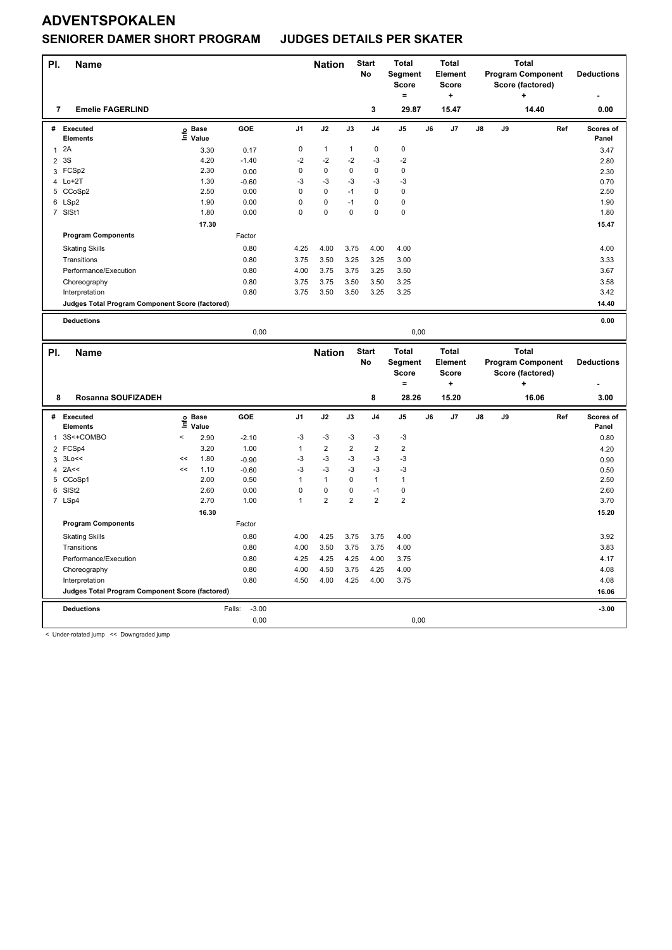#### **SENIORER DAMER SHORT PROGRAM JUDGES DETAILS PER SKATER**

| PI.            | <b>Name</b>                                     |                          |                   |                   |                | <b>Nation</b>  |                | <b>Start</b><br>No | <b>Total</b><br>Segment<br><b>Score</b><br>$=$ |    | <b>Total</b><br><b>Element</b><br>Score<br>$\ddot{}$ | <b>Total</b><br><b>Program Component</b><br>Score (factored)<br>٠ |    | <b>Deductions</b>                            |     |                    |
|----------------|-------------------------------------------------|--------------------------|-------------------|-------------------|----------------|----------------|----------------|--------------------|------------------------------------------------|----|------------------------------------------------------|-------------------------------------------------------------------|----|----------------------------------------------|-----|--------------------|
| 7              | <b>Emelie FAGERLIND</b>                         |                          |                   |                   |                |                |                | 3                  | 29.87                                          |    | 15.47                                                |                                                                   |    | 14.40                                        |     | 0.00               |
| #              | <b>Executed</b><br>Elements                     |                          | e Base<br>⊑ Value | GOE               | J <sub>1</sub> | J2             | J3             | J4                 | J5                                             | J6 | J7                                                   | J8                                                                | J9 |                                              | Ref | Scores of<br>Panel |
| $\mathbf{1}$   | 2A                                              |                          | 3.30              | 0.17              | 0              | $\mathbf{1}$   | $\mathbf{1}$   | 0                  | $\mathbf 0$                                    |    |                                                      |                                                                   |    |                                              |     | 3.47               |
| $\overline{2}$ | 3S                                              |                          | 4.20              | $-1.40$           | $-2$           | $-2$           | $-2$           | $-3$               | $-2$                                           |    |                                                      |                                                                   |    |                                              |     | 2.80               |
|                | 3 FCSp2                                         |                          | 2.30              | 0.00              | $\pmb{0}$      | $\pmb{0}$      | 0              | 0                  | $\mathbf 0$                                    |    |                                                      |                                                                   |    |                                              |     | 2.30               |
|                | 4 Lo+2T                                         |                          | 1.30              | $-0.60$           | -3             | $-3$           | -3             | $-3$               | $-3$                                           |    |                                                      |                                                                   |    |                                              |     | 0.70               |
| 5              | CCoSp2                                          |                          | 2.50              | 0.00              | $\mathbf 0$    | $\mathbf 0$    | $-1$           | $\mathbf 0$        | $\mathbf 0$                                    |    |                                                      |                                                                   |    |                                              |     | 2.50               |
|                | 6 LSp2                                          |                          | 1.90              | 0.00              | $\mathsf 0$    | $\pmb{0}$      | $-1$           | $\pmb{0}$          | $\pmb{0}$                                      |    |                                                      |                                                                   |    |                                              |     | 1.90               |
|                | 7 SISt1                                         |                          | 1.80              | 0.00              | $\mathbf 0$    | 0              | 0              | 0                  | $\mathbf 0$                                    |    |                                                      |                                                                   |    |                                              |     | 1.80               |
|                |                                                 |                          | 17.30             |                   |                |                |                |                    |                                                |    |                                                      |                                                                   |    |                                              |     | 15.47              |
|                | <b>Program Components</b>                       |                          |                   | Factor            |                |                |                |                    |                                                |    |                                                      |                                                                   |    |                                              |     |                    |
|                | <b>Skating Skills</b>                           |                          |                   | 0.80              | 4.25           | 4.00           | 3.75           | 4.00               | 4.00                                           |    |                                                      |                                                                   |    |                                              |     | 4.00               |
|                | Transitions                                     |                          |                   | 0.80              | 3.75           | 3.50           | 3.25           | 3.25               | 3.00                                           |    |                                                      |                                                                   |    |                                              |     | 3.33               |
|                | Performance/Execution                           |                          |                   | 0.80              | 4.00           | 3.75           | 3.75           | 3.25               | 3.50                                           |    |                                                      |                                                                   |    |                                              |     | 3.67               |
|                | Choreography                                    |                          |                   | 0.80              | 3.75           | 3.75           | 3.50           | 3.50               | 3.25                                           |    |                                                      |                                                                   |    |                                              |     | 3.58               |
|                | Interpretation                                  |                          |                   | 0.80              | 3.75           | 3.50           | 3.50           | 3.25               | 3.25                                           |    |                                                      |                                                                   |    |                                              |     | 3.42               |
|                | Judges Total Program Component Score (factored) |                          |                   |                   |                |                |                |                    |                                                |    |                                                      |                                                                   |    |                                              |     | 14.40              |
|                |                                                 |                          |                   |                   |                |                |                |                    |                                                |    |                                                      |                                                                   |    |                                              |     |                    |
|                | <b>Deductions</b>                               |                          |                   |                   |                |                |                |                    |                                                |    |                                                      |                                                                   |    |                                              |     | 0.00               |
|                |                                                 |                          |                   | 0,00              |                |                |                |                    | 0,00                                           |    |                                                      |                                                                   |    |                                              |     |                    |
|                |                                                 |                          |                   |                   |                |                |                |                    |                                                |    |                                                      |                                                                   |    |                                              |     |                    |
|                |                                                 |                          |                   |                   |                |                |                | <b>Start</b>       | <b>Total</b>                                   |    | <b>Total</b>                                         |                                                                   |    | <b>Total</b>                                 |     |                    |
| PI.            | <b>Name</b>                                     |                          |                   |                   |                | <b>Nation</b>  |                | No                 | Segment                                        |    | <b>Element</b>                                       |                                                                   |    |                                              |     | <b>Deductions</b>  |
|                |                                                 |                          |                   |                   |                |                |                |                    | <b>Score</b>                                   |    | <b>Score</b>                                         |                                                                   |    | <b>Program Component</b><br>Score (factored) |     |                    |
|                |                                                 |                          |                   |                   |                |                |                |                    | $=$                                            |    | +                                                    |                                                                   |    |                                              |     |                    |
| 8              | Rosanna SOUFIZADEH                              |                          |                   |                   |                |                |                | 8                  | 28.26                                          |    | 15.20                                                |                                                                   |    | 16.06                                        |     | 3.00               |
| #              | Executed                                        |                          | <b>Base</b>       | GOE               | J <sub>1</sub> | J2             | J3             | J4                 | J <sub>5</sub>                                 | J6 | J7                                                   | J8                                                                | J9 |                                              | Ref | Scores of          |
|                | <b>Elements</b>                                 | Life                     | Value             |                   |                |                |                |                    |                                                |    |                                                      |                                                                   |    |                                              |     | Panel              |
| 1              | 3S<+COMBO                                       | $\overline{\phantom{a}}$ | 2.90              | $-2.10$           | -3             | $-3$           | $-3$           | $-3$               | $-3$                                           |    |                                                      |                                                                   |    |                                              |     | 0.80               |
|                | 2 FCSp4                                         |                          | 3.20              | 1.00              | $\mathbf{1}$   | $\overline{2}$ | $\overline{2}$ | $\overline{2}$     | $\overline{2}$                                 |    |                                                      |                                                                   |    |                                              |     | 4.20               |
| 3              | 3Lo<<                                           | <<                       | 1.80              | $-0.90$           | -3             | $-3$           | $-3$           | $-3$               | $-3$                                           |    |                                                      |                                                                   |    |                                              |     | 0.90               |
| 4              | 2A<<                                            | <<                       | 1.10              | $-0.60$           | $-3$           | $-3$           | $-3$           | $-3$               | -3                                             |    |                                                      |                                                                   |    |                                              |     | 0.50               |
|                | 5 CCoSp1                                        |                          | 2.00              | 0.50              | $\mathbf{1}$   | $\mathbf{1}$   | 0              | $\mathbf{1}$       | $\mathbf{1}$                                   |    |                                                      |                                                                   |    |                                              |     | 2.50               |
| 6              | SISt <sub>2</sub>                               |                          | 2.60              | 0.00              | $\mathbf 0$    | 0              | 0              | $-1$               | $\mathbf 0$                                    |    |                                                      |                                                                   |    |                                              |     | 2.60               |
|                | 7 LSp4                                          |                          | 2.70              | 1.00              | 1              | $\overline{2}$ | $\overline{2}$ | $\overline{2}$     | $\overline{2}$                                 |    |                                                      |                                                                   |    |                                              |     | 3.70               |
|                |                                                 |                          | 16.30             |                   |                |                |                |                    |                                                |    |                                                      |                                                                   |    |                                              |     | 15.20              |
|                | <b>Program Components</b>                       |                          |                   | Factor            |                |                |                |                    |                                                |    |                                                      |                                                                   |    |                                              |     |                    |
|                | <b>Skating Skills</b>                           |                          |                   | 0.80              | 4.00           | 4.25           | 3.75           | 3.75               | 4.00                                           |    |                                                      |                                                                   |    |                                              |     | 3.92               |
|                | Transitions                                     |                          |                   | 0.80              | 4.00           | 3.50           | 3.75           | 3.75               | 4.00                                           |    |                                                      |                                                                   |    |                                              |     | 3.83               |
|                | Performance/Execution                           |                          |                   | 0.80              | 4.25           | 4.25           | 4.25           | 4.00               | 3.75                                           |    |                                                      |                                                                   |    |                                              |     | 4.17               |
|                | Choreography                                    |                          |                   | 0.80              | 4.00           | 4.50           | 3.75           | 4.25               | 4.00                                           |    |                                                      |                                                                   |    |                                              |     | 4.08               |
|                | Interpretation                                  |                          |                   | 0.80              | 4.50           | 4.00           | 4.25           | 4.00               | 3.75                                           |    |                                                      |                                                                   |    |                                              |     | 4.08               |
|                | Judges Total Program Component Score (factored) |                          |                   |                   |                |                |                |                    |                                                |    |                                                      |                                                                   |    |                                              |     | 16.06              |
|                | <b>Deductions</b>                               |                          |                   | $-3.00$<br>Falls: |                |                |                |                    |                                                |    |                                                      |                                                                   |    |                                              |     | $-3.00$            |
|                |                                                 |                          |                   | 0,00              |                |                |                |                    | 0,00                                           |    |                                                      |                                                                   |    |                                              |     |                    |

< Under-rotated jump << Downgraded jump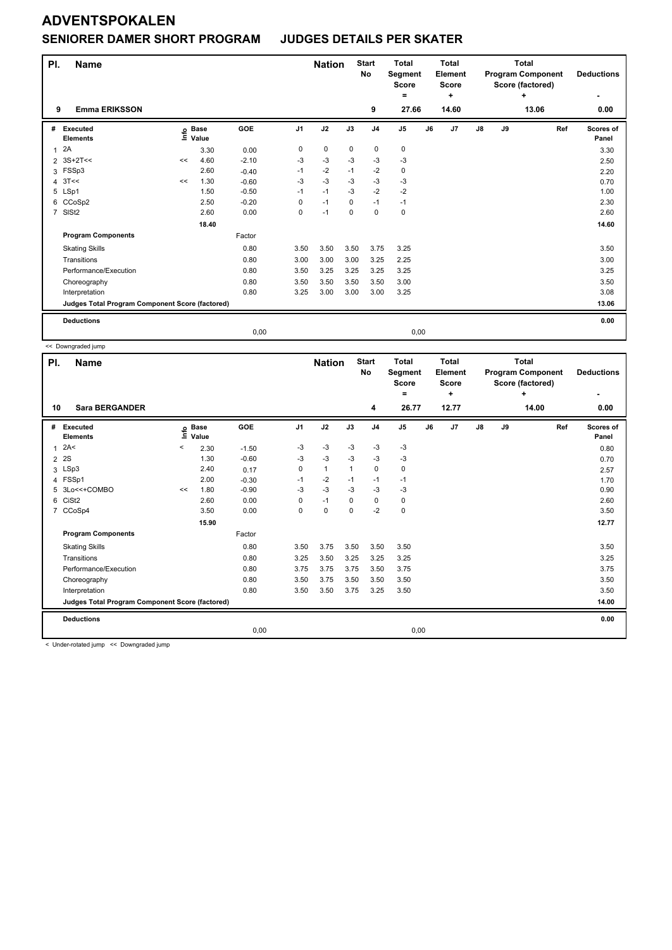#### **SENIORER DAMER SHORT PROGRAM JUDGES DETAILS PER SKATER**

| PI.            | Name                                            |    |                                  |         |                | <b>Nation</b> |             | <b>Start</b><br>No | <b>Total</b><br><b>Segment</b><br>Score<br>۰ |    | <b>Total</b><br>Element<br>Score<br>÷ | <b>Total</b><br><b>Program Component</b><br>Score (factored)<br>÷ |    |       |     | <b>Deductions</b><br>۰ |
|----------------|-------------------------------------------------|----|----------------------------------|---------|----------------|---------------|-------------|--------------------|----------------------------------------------|----|---------------------------------------|-------------------------------------------------------------------|----|-------|-----|------------------------|
| 9              | <b>Emma ERIKSSON</b>                            |    |                                  |         |                |               |             | 9                  | 27.66                                        |    | 14.60                                 |                                                                   |    | 13.06 |     | 0.00                   |
| #              | Executed<br><b>Elements</b>                     |    | <b>Base</b><br>e Base<br>⊑ Value | GOE     | J <sub>1</sub> | J2            | J3          | J <sub>4</sub>     | J <sub>5</sub>                               | J6 | J7                                    | $\mathsf{J}8$                                                     | J9 |       | Ref | Scores of<br>Panel     |
| $\overline{1}$ | 2A                                              |    | 3.30                             | 0.00    | 0              | $\pmb{0}$     | $\mathbf 0$ | 0                  | $\pmb{0}$                                    |    |                                       |                                                                   |    |       |     | 3.30                   |
|                | 2 3S+2T<<                                       | << | 4.60                             | $-2.10$ | $-3$           | $-3$          | $-3$        | $-3$               | $-3$                                         |    |                                       |                                                                   |    |       |     | 2.50                   |
| 3              | FSSp3                                           |    | 2.60                             | $-0.40$ | $-1$           | $-2$          | $-1$        | $-2$               | 0                                            |    |                                       |                                                                   |    |       |     | 2.20                   |
| 4              | 3T<<                                            | << | 1.30                             | $-0.60$ | -3             | $-3$          | $-3$        | $-3$               | $-3$                                         |    |                                       |                                                                   |    |       |     | 0.70                   |
|                | 5 LSp1                                          |    | 1.50                             | $-0.50$ | $-1$           | $-1$          | $-3$        | $-2$               | $-2$                                         |    |                                       |                                                                   |    |       |     | 1.00                   |
|                | 6 CCoSp2                                        |    | 2.50                             | $-0.20$ | 0              | $-1$          | $\Omega$    | $-1$               | $-1$                                         |    |                                       |                                                                   |    |       |     | 2.30                   |
| $\overline{7}$ | SIS <sub>t2</sub>                               |    | 2.60                             | 0.00    | 0              | $-1$          | $\mathbf 0$ | $\mathbf 0$        | $\mathbf 0$                                  |    |                                       |                                                                   |    |       |     | 2.60                   |
|                |                                                 |    | 18.40                            |         |                |               |             |                    |                                              |    |                                       |                                                                   |    |       |     | 14.60                  |
|                | <b>Program Components</b>                       |    |                                  | Factor  |                |               |             |                    |                                              |    |                                       |                                                                   |    |       |     |                        |
|                | <b>Skating Skills</b>                           |    |                                  | 0.80    | 3.50           | 3.50          | 3.50        | 3.75               | 3.25                                         |    |                                       |                                                                   |    |       |     | 3.50                   |
|                | Transitions                                     |    |                                  | 0.80    | 3.00           | 3.00          | 3.00        | 3.25               | 2.25                                         |    |                                       |                                                                   |    |       |     | 3.00                   |
|                | Performance/Execution                           |    |                                  | 0.80    | 3.50           | 3.25          | 3.25        | 3.25               | 3.25                                         |    |                                       |                                                                   |    |       |     | 3.25                   |
|                | Choreography                                    |    |                                  | 0.80    | 3.50           | 3.50          | 3.50        | 3.50               | 3.00                                         |    |                                       |                                                                   |    |       |     | 3.50                   |
|                | Interpretation                                  |    |                                  | 0.80    | 3.25           | 3.00          | 3.00        | 3.00               | 3.25                                         |    |                                       |                                                                   |    |       |     | 3.08                   |
|                | Judges Total Program Component Score (factored) |    |                                  |         |                |               |             |                    |                                              |    |                                       |                                                                   |    |       |     | 13.06                  |
|                | <b>Deductions</b>                               |    |                                  |         |                |               |             |                    |                                              |    |                                       |                                                                   |    |       |     | 0.00                   |
|                |                                                 |    |                                  | 0,00    |                |               |             |                    | 0,00                                         |    |                                       |                                                                   |    |       |     |                        |
|                | << Downgraded jump                              |    |                                  |         |                |               |             |                    |                                              |    |                                       |                                                                   |    |       |     |                        |

**Total** 

**Total**

**Score (factored) +**

**Deductions -**

**Panel**

**Ref** 

**Name Nation** Start Total **Segment Score = Element Score + Program Component PI.** Name **Start PI.** Nation Start **No # Executed Elements Base Value GOE J1 J2 J3 J4 J5 J6 J7 J8 J9 Scores of**   $1 \t245$  -3 -3 -3 -3 -3 -3 2A< < 0.80 **Info 10 Sara BERGANDER 4 26.77 12.77 14.00 0.00**  $2 \quad 2S$  1.30 -0.60 -3 -3 -3 -3 -3 -3 -3 -3 0.70  $3 \text{ LSp3}$  2.40 0.17 0 1 1 0 0 4 FSSp1 2.00 -0.30 -1 -2 -1 -1 -1 1.70 5 3Lo<<+COMBO << 1.80 -0.90 -3 -3 -3 -3 -3 0.90 6 CiSt2 2.60 0.00 0 -1 0 0 0 2.60 7 CCoSp4 3.50 0.00 0 0 0 -2 0 3.50  **15.90 12.77 Program Components**  Skating Skills 3.50 3.75 3.50 3.50 3.50 0.80 3.50 Factor Transitions 0.80 3.25 3.50 3.25 3.25 3.25 3.25 Performance/Execution 0.80 3.75 3.75 3.75 3.50 3.75 3.75 Choreography 0.80 3.50 3.75 3.50 3.50 3.50 3.50

Interpretation 10.80 0.80 3.50 3.50 3.75 3.25 3.50 3.50 3.75 3.25 3.50 3.50 3.50 **Deductions 0.00 Judges Total Program Component Score (factored) 14.00** 0,00 0,00

< Under-rotated jump << Downgraded jump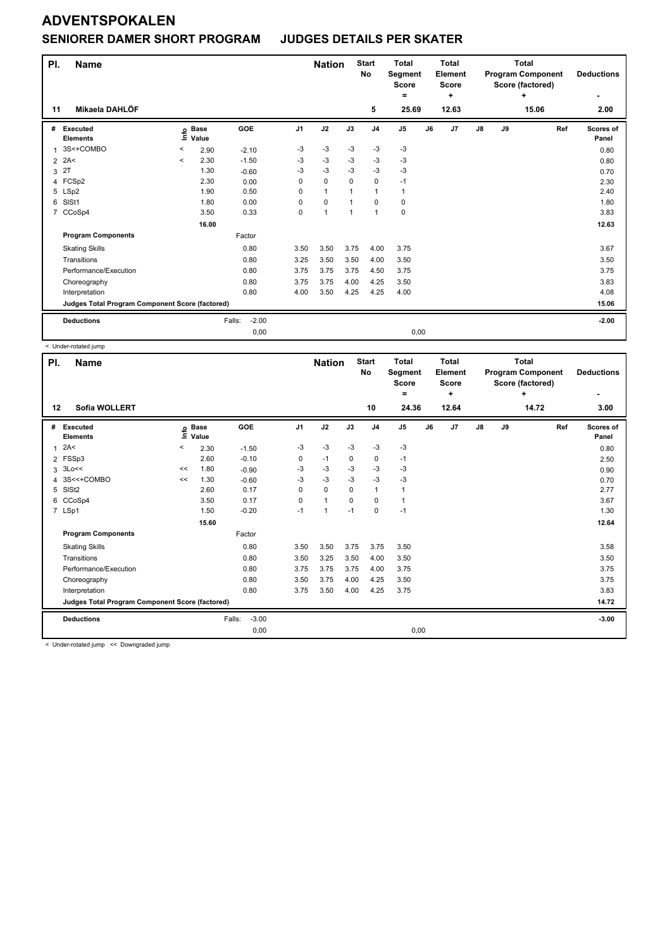### **SENIORER DAMER SHORT PROGRAM JUDGES DETAILS PER SKATER**

| PI.<br>11      | Name<br>Mikaela DAHLÖF                          |         |                      |                   |                | <b>Nation</b>        |                | <b>Start</b><br>No<br>5 | <b>Total</b><br>Segment<br><b>Score</b><br>Ξ.<br>25.69 |    | <b>Total</b><br>Element<br><b>Score</b><br>÷<br>12.63 |               | <b>Total</b><br><b>Program Component</b><br>Score (factored) | <b>Deductions</b><br>2.00 |                    |
|----------------|-------------------------------------------------|---------|----------------------|-------------------|----------------|----------------------|----------------|-------------------------|--------------------------------------------------------|----|-------------------------------------------------------|---------------|--------------------------------------------------------------|---------------------------|--------------------|
|                |                                                 |         |                      |                   |                |                      |                |                         |                                                        |    |                                                       |               |                                                              | 15.06                     |                    |
| #              | Executed<br><b>Elements</b>                     | e       | <b>Base</b><br>Value | GOE               | J <sub>1</sub> | J2                   | J3             | J <sub>4</sub>          | J <sub>5</sub>                                         | J6 | J <sub>7</sub>                                        | $\mathsf{J}8$ | J9                                                           | Ref                       | Scores of<br>Panel |
| 1              | 3S<+COMBO                                       | $\,<$   | 2.90                 | $-2.10$           | $-3$           | $-3$                 | $-3$           | $-3$                    | $-3$                                                   |    |                                                       |               |                                                              |                           | 0.80               |
| $\overline{2}$ | 2A<                                             | $\prec$ | 2.30                 | $-1.50$           | -3             | $-3$                 | -3             | -3                      | -3                                                     |    |                                                       |               |                                                              |                           | 0.80               |
| 3              | 2T                                              |         | 1.30                 | $-0.60$           | $-3$           | $-3$                 | $-3$           | $-3$                    | $-3$                                                   |    |                                                       |               |                                                              |                           | 0.70               |
|                | 4 FCSp2                                         |         | 2.30                 | 0.00              | $\Omega$       | $\mathbf 0$          | $\Omega$       | $\mathbf 0$             | $-1$                                                   |    |                                                       |               |                                                              |                           | 2.30               |
| 5              | LSp2                                            |         | 1.90                 | 0.50              | 0              | $\mathbf{1}$         | 1              | $\mathbf{1}$            | 1                                                      |    |                                                       |               |                                                              |                           | 2.40               |
| 6              | SISt1                                           |         | 1.80                 | 0.00              | $\Omega$       | $\mathbf 0$          | $\overline{1}$ | $\mathbf 0$             | 0                                                      |    |                                                       |               |                                                              |                           | 1.80               |
| $\overline{7}$ | CCoSp4                                          |         | 3.50                 | 0.33              | 0              | $\blacktriangleleft$ | $\overline{1}$ | $\mathbf{1}$            | $\mathbf 0$                                            |    |                                                       |               |                                                              |                           | 3.83               |
|                |                                                 |         | 16.00                |                   |                |                      |                |                         |                                                        |    |                                                       |               |                                                              |                           | 12.63              |
|                | <b>Program Components</b>                       |         |                      | Factor            |                |                      |                |                         |                                                        |    |                                                       |               |                                                              |                           |                    |
|                | <b>Skating Skills</b>                           |         |                      | 0.80              | 3.50           | 3.50                 | 3.75           | 4.00                    | 3.75                                                   |    |                                                       |               |                                                              |                           | 3.67               |
|                | Transitions                                     |         |                      | 0.80              | 3.25           | 3.50                 | 3.50           | 4.00                    | 3.50                                                   |    |                                                       |               |                                                              |                           | 3.50               |
|                | Performance/Execution                           |         |                      | 0.80              | 3.75           | 3.75                 | 3.75           | 4.50                    | 3.75                                                   |    |                                                       |               |                                                              |                           | 3.75               |
|                | Choreography                                    |         |                      | 0.80              | 3.75           | 3.75                 | 4.00           | 4.25                    | 3.50                                                   |    |                                                       |               |                                                              |                           | 3.83               |
|                | Interpretation                                  |         |                      | 0.80              | 4.00           | 3.50                 | 4.25           | 4.25                    | 4.00                                                   |    |                                                       |               |                                                              |                           | 4.08               |
|                | Judges Total Program Component Score (factored) |         |                      |                   |                |                      |                |                         |                                                        |    |                                                       |               |                                                              |                           | 15.06              |
|                | <b>Deductions</b>                               |         |                      | $-2.00$<br>Falls: |                |                      |                |                         |                                                        |    |                                                       |               |                                                              |                           | $-2.00$            |
|                |                                                 |         |                      | 0,00              |                |                      |                |                         | 0,00                                                   |    |                                                       |               |                                                              |                           |                    |

< Under-rotated jump

| PI. | <b>Name</b>                                     |       |                      |                   |                | <b>Nation</b>  |             | <b>Start</b><br>No | <b>Total</b><br>Segment<br><b>Score</b><br>= |    | <b>Total</b><br>Element<br>Score<br>٠ |               |    | <b>Total</b><br><b>Program Component</b><br>Score (factored)<br>٠ | <b>Deductions</b>  |
|-----|-------------------------------------------------|-------|----------------------|-------------------|----------------|----------------|-------------|--------------------|----------------------------------------------|----|---------------------------------------|---------------|----|-------------------------------------------------------------------|--------------------|
| 12  | <b>Sofia WOLLERT</b>                            |       |                      |                   |                |                |             | 10                 | 24.36                                        |    | 12.64                                 |               |    | 14.72                                                             | ۰<br>3.00          |
| #   | Executed<br><b>Elements</b>                     | lnfo  | <b>Base</b><br>Value | GOE               | J <sub>1</sub> | J2             | J3          | J <sub>4</sub>     | J <sub>5</sub>                               | J6 | J7                                    | $\mathsf{J}8$ | J9 | Ref                                                               | Scores of<br>Panel |
| 1   | 2A<                                             | $\,<$ | 2.30                 | $-1.50$           | $-3$           | $-3$           | $-3$        | $-3$               | $-3$                                         |    |                                       |               |    |                                                                   | 0.80               |
|     | 2 FSSp3                                         |       | 2.60                 | $-0.10$           | 0              | $-1$           | 0           | 0                  | $-1$                                         |    |                                       |               |    |                                                                   | 2.50               |
| 3   | 3Lo<<                                           | <<    | 1.80                 | $-0.90$           | -3             | $-3$           | -3          | $-3$               | $-3$                                         |    |                                       |               |    |                                                                   | 0.90               |
|     | 4 3S<<+COMBO                                    | <<    | 1.30                 | $-0.60$           | $-3$           | $-3$           | $-3$        | $-3$               | $-3$                                         |    |                                       |               |    |                                                                   | 0.70               |
| 5   | SISt <sub>2</sub>                               |       | 2.60                 | 0.17              | 0              | $\mathbf 0$    | $\mathbf 0$ | $\mathbf{1}$       | $\mathbf{1}$                                 |    |                                       |               |    |                                                                   | 2.77               |
| 6   | CCoSp4                                          |       | 3.50                 | 0.17              | 0              | $\mathbf{1}$   | $\Omega$    | $\mathbf 0$        | $\mathbf{1}$                                 |    |                                       |               |    |                                                                   | 3.67               |
|     | 7 LSp1                                          |       | 1.50                 | $-0.20$           | $-1$           | $\overline{1}$ | $-1$        | 0                  | $-1$                                         |    |                                       |               |    |                                                                   | 1.30               |
|     |                                                 |       | 15.60                |                   |                |                |             |                    |                                              |    |                                       |               |    |                                                                   | 12.64              |
|     | <b>Program Components</b>                       |       |                      | Factor            |                |                |             |                    |                                              |    |                                       |               |    |                                                                   |                    |
|     | <b>Skating Skills</b>                           |       |                      | 0.80              | 3.50           | 3.50           | 3.75        | 3.75               | 3.50                                         |    |                                       |               |    |                                                                   | 3.58               |
|     | Transitions                                     |       |                      | 0.80              | 3.50           | 3.25           | 3.50        | 4.00               | 3.50                                         |    |                                       |               |    |                                                                   | 3.50               |
|     | Performance/Execution                           |       |                      | 0.80              | 3.75           | 3.75           | 3.75        | 4.00               | 3.75                                         |    |                                       |               |    |                                                                   | 3.75               |
|     | Choreography                                    |       |                      | 0.80              | 3.50           | 3.75           | 4.00        | 4.25               | 3.50                                         |    |                                       |               |    |                                                                   | 3.75               |
|     | Interpretation                                  |       |                      | 0.80              | 3.75           | 3.50           | 4.00        | 4.25               | 3.75                                         |    |                                       |               |    |                                                                   | 3.83               |
|     | Judges Total Program Component Score (factored) |       |                      |                   |                |                |             |                    |                                              |    |                                       |               |    |                                                                   | 14.72              |
|     | <b>Deductions</b>                               |       |                      | $-3.00$<br>Falls: |                |                |             |                    |                                              |    |                                       |               |    |                                                                   | $-3.00$            |
|     |                                                 |       |                      | 0,00              |                |                |             |                    | 0,00                                         |    |                                       |               |    |                                                                   |                    |

< Under-rotated jump << Downgraded jump